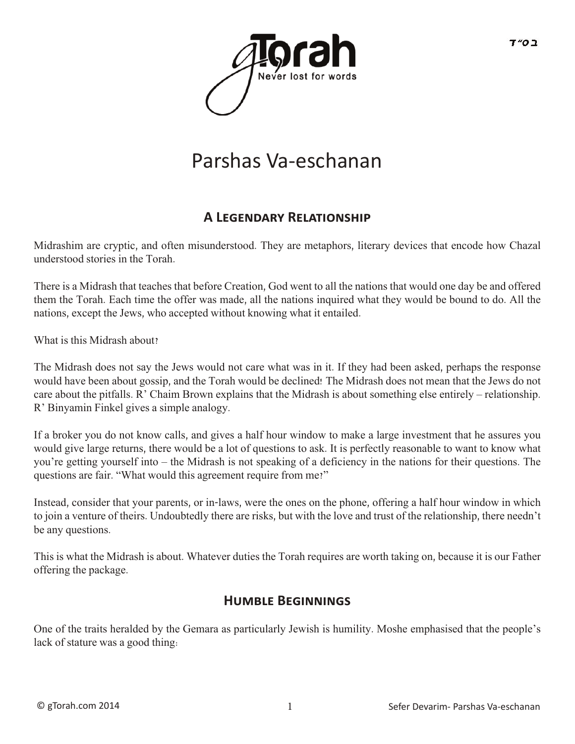

# Parshas Va-eschanan

### **A LEGENDARY RELATIONSHIP**

Midrashim are cryptic, and often misunderstood. They are metaphors, literary devices that encode how Chazal understood stories in the Torah.

There is a Midrash that teaches that before Creation, God went to all the nations that would one day be and offered them the Torah. Each time the offer was made, all the nations inquired what they would be bound to do. All the nations, except the Jews, who accepted without knowing what it entailed.

What is this Midrash about?

The Midrash does not say the Jews would not care what was in it. If they had been asked, perhaps the response would have been about gossip, and the Torah would be declined! The Midrash does not mean that the Jews do not care about the pitfalls. R' Chaim Brown explains that the Midrash is about something else entirely – relationship. R' Binyamin Finkel gives a simple analogy.

If a broker you do not know calls, and gives a half hour window to make a large investment that he assures you would give large returns, there would be a lot of questions to ask. It is perfectly reasonable to want to know what you're getting yourself into – the Midrash is not speaking of a deficiency in the nations for their questions. The questions are fair. "What would this agreement require from me?"

Instead, consider that your parents, or in-laws, were the ones on the phone, offering a half hour window in which to join a venture of theirs. Undoubtedly there are risks, but with the love and trust of the relationship, there needn't be any questions.

This is what the Midrash is about. Whatever duties the Torah requires are worth taking on, because it is our Father offering the package.

### **HUMBLE BEGINNINGS**

One of the traits heralded by the Gemara as particularly Jewish is humility. Moshe emphasised that the people's lack of stature was a good thing: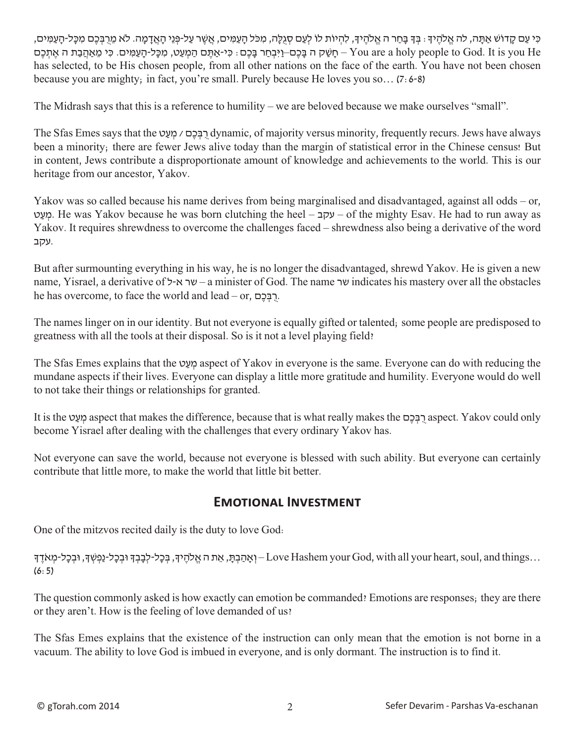ּכִּי עַם קַדוֹשׁ אַתָּה, לה אֱלֹהֶיִךָּ : בְּךָ בָּחַר ה אֱלֹהֶיךָ, לִהְיוֹת לוֹ לְעַם סְגִלָּה, מִכֹּל הַעַמְּים, אֲשֶׁר עַל-פְּנֵי הָאֲדָמַה. לֹא מֵרִבְּכֵם מִכָּל-הַעַמִּים, חְשָׁק ה בַּכֶם–וַיִּבְחַר בַּכֶם: כִּי-אַתְּם הַמִּעְט, מִכּל-הַעָמֵים. כִּי מַאהִבת ה אִתְכַם – You are a holy people to God. It is you He has selected, to be His chosen people, from all other nations on the face of the earth. You have not been chosen because you are mighty; in fact, you're small. Purely because He loves you so… (7:6-8)

The Midrash says that this is a reference to humility – we are beloved because we make ourselves "small".

The Sfas Emes says that the ט ַע ְמ / םֶכ ְבּ ֻר dynamic, of majority versus minority, frequently recurs. Jews have always been a minority; there are fewer Jews alive today than the margin of statistical error in the Chinese census! But in content, Jews contribute a disproportionate amount of knowledge and achievements to the world. This is our heritage from our ancestor, Yakov.

Yakov was so called because his name derives from being marginalised and disadvantaged, against all odds – or, ט ַע ְמ. He was Yakov because he was born clutching the heel – עקב – of the mighty Esav. He had to run away as Yakov. It requires shrewdness to overcome the challenges faced – shrewdness also being a derivative of the word .עקב

But after surmounting everything in his way, he is no longer the disadvantaged, shrewd Yakov. He is given a new name, Yisrael, a derivative of  $\sim$ שר א-ל $-$ a minister of God. The name שר indicates his mastery over all the obstacles he has overcome, to face the world and lead – or, רִבְּכֶם.

The names linger on in our identity. But not everyone is equally gifted or talented; some people are predisposed to greatness with all the tools at their disposal. So is it not a level playing field?

The Sfas Emes explains that the ט ַע ְמ aspect of Yakov in everyone is the same. Everyone can do with reducing the mundane aspects if their lives. Everyone can display a little more gratitude and humility. Everyone would do well to not take their things or relationships for granted.

It is the ט ַע ְמ aspect that makes the difference, because that is what really makes the םֶכ ְבּ ֻר aspect. Yakov could only become Yisrael after dealing with the challenges that every ordinary Yakov has.

Not everyone can save the world, because not everyone is blessed with such ability. But everyone can certainly contribute that little more, to make the world that little bit better.

#### **Emotional Investment**

One of the mitzvos recited daily is the duty to love God:

...Love Hashem your God, with all your heart, soul, and things – וְאָהַבְתָּ, בְּכָל-לְבָבְךָ וּבְכָל-נַפְשְׁךָ, וּבְכָל-מְאֹדֶךָ (6:5)

The question commonly asked is how exactly can emotion be commanded? Emotions are responses; they are there or they aren't. How is the feeling of love demanded of us?

The Sfas Emes explains that the existence of the instruction can only mean that the emotion is not borne in a vacuum. The ability to love God is imbued in everyone, and is only dormant. The instruction is to find it.